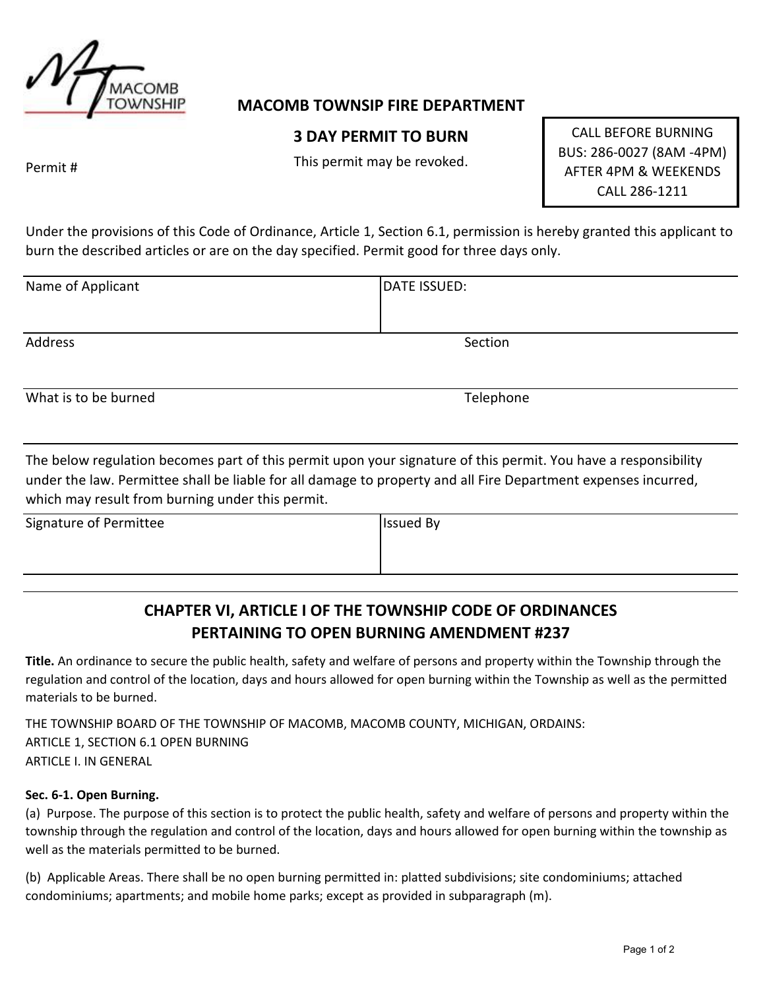

### **MACOMB TOWNSIP FIRE DEPARTMENT**

## **3 DAY PERMIT TO BURN**

This permit may be revoked.

CALL BEFORE BURNING BUS: 286-0027 (8AM -4PM) AFTER 4PM & WEEKENDS CALL 286-1211

Permit #

Under the provisions of this Code of Ordinance, Article 1, Section 6.1, permission is hereby granted this applicant to burn the described articles or are on the day specified. Permit good for three days only.

| Name of Applicant | DATE ISSUED: |
|-------------------|--------------|
| Address           | Section      |

What is to be burned **Telephone** 

The below regulation becomes part of this permit upon your signature of this permit. You have a responsibility under the law. Permittee shall be liable for all damage to property and all Fire Department expenses incurred, which may result from burning under this permit.

Signature of Permittee Issued By

# **CHAPTER VI, ARTICLE I OF THE TOWNSHIP CODE OF ORDINANCES PERTAINING TO OPEN BURNING AMENDMENT #237**

**Title.** An ordinance to secure the public health, safety and welfare of persons and property within the Township through the regulation and control of the location, days and hours allowed for open burning within the Township as well as the permitted materials to be burned.

THE TOWNSHIP BOARD OF THE TOWNSHIP OF MACOMB, MACOMB COUNTY, MICHIGAN, ORDAINS: ARTICLE 1, SECTION 6.1 OPEN BURNING ARTICLE I. IN GENERAL

#### **Sec. 6-1. Open Burning.**

(a) Purpose. The purpose of this section is to protect the public health, safety and welfare of persons and property within the township through the regulation and control of the location, days and hours allowed for open burning within the township as well as the materials permitted to be burned.

(b) Applicable Areas. There shall be no open burning permitted in: platted subdivisions; site condominiums; attached condominiums; apartments; and mobile home parks; except as provided in subparagraph (m).